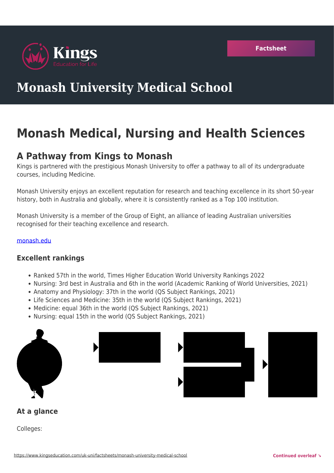

# **Monash University Medical School**

# **Monash Medical, Nursing and Health Sciences**

## **A Pathway from Kings to Monash**

Kings is partnered with the prestigious Monash University to offer a pathway to all of its undergraduate courses, including Medicine.

Monash University enjoys an excellent reputation for research and teaching excellence in its short 50-year history, both in Australia and globally, where it is consistently ranked as a Top 100 institution.

Monash University is a member of the Group of Eight, an alliance of leading Australian universities recognised for their teaching excellence and research.

#### [monash.edu](https://www.monash.edu/medicine/som/home)

### **Excellent rankings**

- Ranked 57th in the world, Times Higher Education World University Rankings 2022
- Nursing: 3rd best in Australia and 6th in the world (Academic Ranking of World Universities, 2021)
- Anatomy and Physiology: 37th in the world (QS Subject Rankings, 2021)
- Life Sciences and Medicine: 35th in the world (QS Subject Rankings, 2021)
- Medicine: equal 36th in the world (QS Subject Rankings, 2021)
- Nursing: equal 15th in the world (QS Subject Rankings, 2021)





### **At a glance**

Colleges: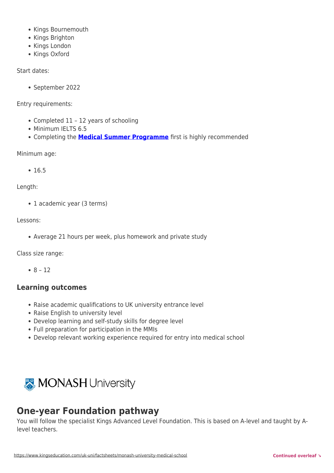- Kings Bournemouth
- Kings Brighton
- Kings London
- Kings Oxford

Start dates:

September 2022

Entry requirements:

- Completed 11 12 years of schooling
- Minimum IELTS 6.5
- Completing the **[Medical Summer Programme](https://www.kingseducation.com/uk-uni/smartclass-medical-summer)** first is highly recommended

Minimum age:

 $• 16.5$ 

Length:

• 1 academic year (3 terms)

Lessons:

Average 21 hours per week, plus homework and private study

Class size range:

 $8 - 12$ 

### **Learning outcomes**

- Raise academic qualifications to UK university entrance level
- Raise English to university level
- Develop learning and self-study skills for degree level
- Full preparation for participation in the MMIs
- Develop relevant working experience required for entry into medical school



# **One-year Foundation pathway**

You will follow the specialist Kings Advanced Level Foundation. This is based on A-level and taught by Alevel teachers.